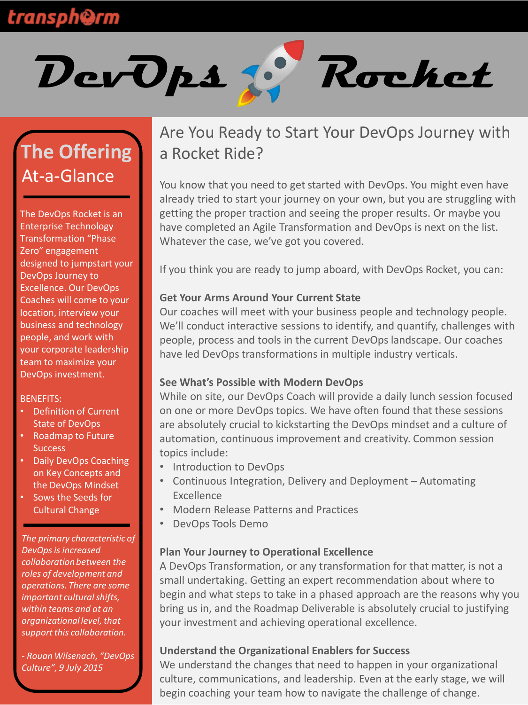## **transph@rm**



# **The Offering**  At-a-Glance

The DevOps Rocket is an Enterprise Technology Transformation "Phase Zero" engagement designed to jumpstart your DevOps Journey to Excellence. Our DevOps Coaches will come to your location, interview your business and technology people, and work with your corporate leadership team to maximize your DevOps investment.

#### BENEFITS:

- Definition of Current State of DevOps
- Roadmap to Future **Success**
- Daily DevOps Coaching on Key Concepts and the DevOps Mindset
- Sows the Seeds for Cultural Change

*The primary characteristic of DevOps is increased collaboration between the roles of development and operations. There are some important culturalshifts, within teams and at an organizational level, that support this collaboration.* 

*- Rouan Wilsenach, "DevOps Culture", 9 July 2015*

### Are You Ready to Start Your DevOps Journey with a Rocket Ride?

You know that you need to get started with DevOps. You might even have already tried to start your journey on your own, but you are struggling with getting the proper traction and seeing the proper results. Or maybe you have completed an Agile Transformation and DevOps is next on the list. Whatever the case, we've got you covered.

If you think you are ready to jump aboard, with DevOps Rocket, you can:

### **Get Your Arms Around Your Current State**

Our coaches will meet with your business people and technology people. We'll conduct interactive sessions to identify, and quantify, challenges with people, process and tools in the current DevOps landscape. Our coaches have led DevOps transformations in multiple industry verticals.

### **See What's Possible with Modern DevOps**

While on site, our DevOps Coach will provide a daily lunch session focused on one or more DevOps topics. We have often found that these sessions are absolutely crucial to kickstarting the DevOps mindset and a culture of automation, continuous improvement and creativity. Common session topics include:

- Introduction to DevOps
- Continuous Integration, Delivery and Deployment Automating Excellence
- Modern Release Patterns and Practices
- DevOps Tools Demo

### **Plan Your Journey to Operational Excellence**

A DevOps Transformation, or any transformation for that matter, is not a small undertaking. Getting an expert recommendation about where to begin and what steps to take in a phased approach are the reasons why you bring us in, and the Roadmap Deliverable is absolutely crucial to justifying your investment and achieving operational excellence.

### **Understand the Organizational Enablers for Success**

We understand the changes that need to happen in your organizational culture, communications, and leadership. Even at the early stage, we will begin coaching your team how to navigate the challenge of change.